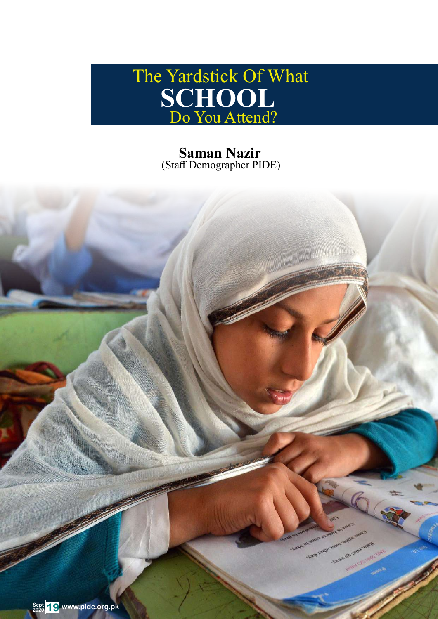

**Saman Nazir** (Staff Demographer PIDE)

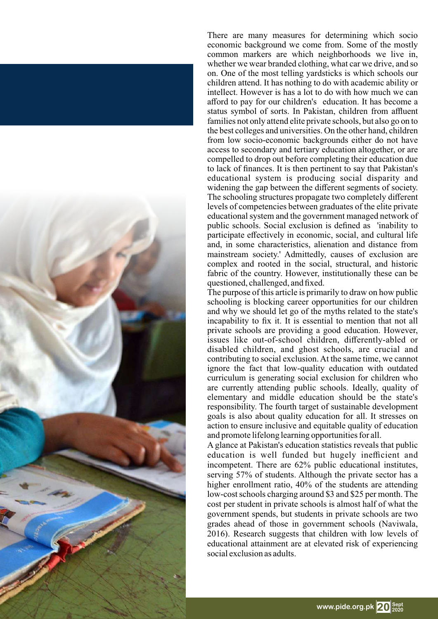

There are many measures for determining which socio economic background we come from. Some of the mostly common markers are which neighborhoods we live in, whether we wear branded clothing, what car we drive, and so on. One of the most telling yardsticks is which schools our children attend. It has nothing to do with academic ability or intellect. However is has a lot to do with how much we can afford to pay for our children's education. It has become a status symbol of sorts. In Pakistan, children from affluent families not only attend elite private schools, but also go on to the best colleges and universities. On the other hand, children from low socio-economic backgrounds either do not have access to secondary and tertiary education altogether, or are compelled to drop out before completing their education due to lack of finances. It is then pertinent to say that Pakistan's educational system is producing social disparity and widening the gap between the different segments of society. The schooling structures propagate two completely different levels of competencies between graduates of the elite private educational system and the government managed network of public schools. Social exclusion is defined as 'inability to participate effectively in economic, social, and cultural life and, in some characteristics, alienation and distance from mainstream society.' Admittedly, causes of exclusion are complex and rooted in the social, structural, and historic fabric of the country. However, institutionally these can be questioned, challenged, and fixed.

The purpose of this article is primarily to draw on how public schooling is blocking career opportunities for our children and why we should let go of the myths related to the state's incapability to fix it. It is essential to mention that not all private schools are providing a good education. However, issues like out-of-school children, differently-abled or disabled children, and ghost schools, are crucial and contributing to social exclusion. At the same time, we cannot ignore the fact that low-quality education with outdated curriculum is generating social exclusion for children who are currently attending public schools. Ideally, quality of elementary and middle education should be the state's responsibility. The fourth target of sustainable development goals is also about quality education for all. It stresses on action to ensure inclusive and equitable quality of education and promote lifelong learning opportunities for all.

A glance at Pakistan's education statistics reveals that public education is well funded but hugely inefficient and incompetent. There are 62% public educational institutes, serving 57% of students. Although the private sector has a higher enrollment ratio, 40% of the students are attending low-cost schools charging around \$3 and \$25 per month. The cost per student in private schools is almost half of what the government spends, but students in private schools are two grades ahead of those in government schools (Naviwala, 2016). Research suggests that children with low levels of educational attainment are at elevated risk of experiencing social exclusion as adults.